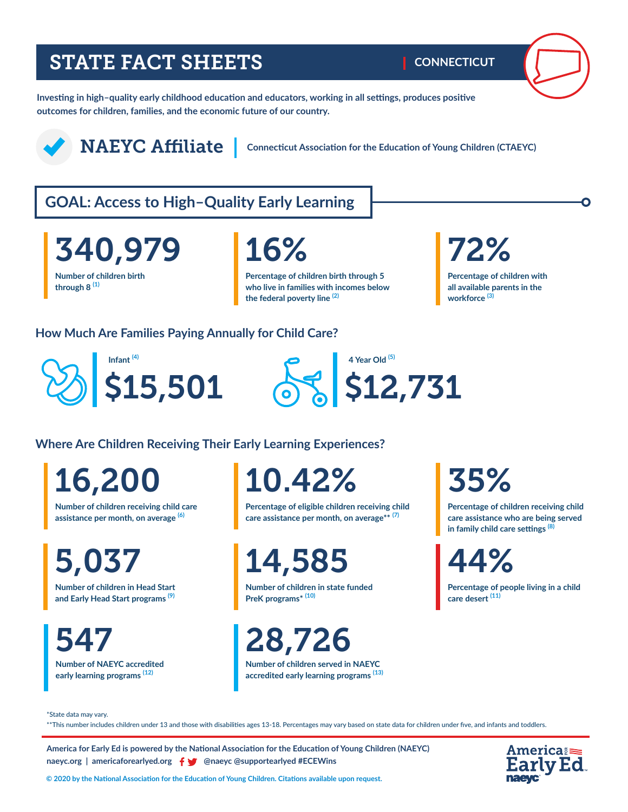## STATE FACT SHEETS

**CONNECTICUT**

**Investing in high–quality early childhood education and educators, working in all settings, produces positive outcomes for children, families, and the economic future of our country.** 



NAEYC Affiliate

**Connecticut Association for the Education of Young Children (CTAEYC)**

## **GOAL: Access to High–Quality Early Learning**

**Number of children birth through 8 (1)** 340,979

**Percentage of children birth through 5 who live in families with incomes below the federal poverty line (2)**

# 16% 72%

**Percentage of children with all available parents in the workforce (3)**

#### **How Much Are Families Paying Annually for Child Care?**





**Where Are Children Receiving Their Early Learning Experiences?**

16,200

**Number of children receiving child care assistance per month, on average (6)**

**Number of children in Head Start**  5,037

**and Early Head Start programs (9)**

**Number of NAEYC accredited early learning programs (12)** 

10.42%

**Percentage of eligible children receiving child care assistance per month, on average\*\* (7)**

14,585

**Number of children in state funded PreK programs\* (10)**

547 28,726

**Number of children served in NAEYC accredited early learning programs (13)** 

## 35%

**Percentage of children receiving child care assistance who are being served in family child care settings (8)**

44%

**Percentage of people living in a child care desert (11)**

\*State data may vary.

\*\*This number includes children under 13 and those with disabilities ages 13-18. Percentages may vary based on state data for children under five, and infants and toddlers.

**America for Early Ed is powered by the National Association for the Education of Young Children (NAEYC) naeyc.org** | americaforearlyed.org | @naeyc @supportearlyed #ECEWins



**© 2020 by the National Association for the Education of Young Children. Citations available upon request.**